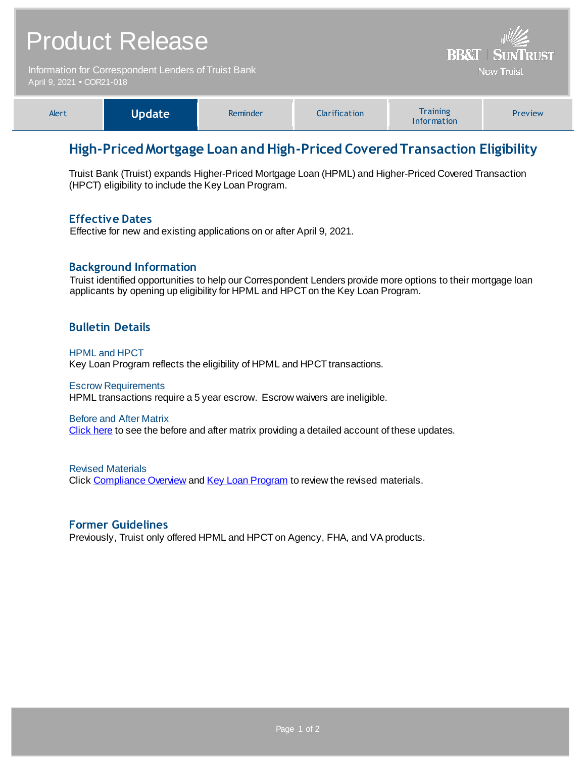| <b>Product Release</b>                                                            |               |          |               | <b>BB&amp;T   SUNTRUST</b>     |         |
|-----------------------------------------------------------------------------------|---------------|----------|---------------|--------------------------------|---------|
| Information for Correspondent Lenders of Truist Bank<br>April 9, 2021 • COR21-018 |               |          |               | <b>Now Truist</b>              |         |
| Alert                                                                             | <b>Update</b> | Reminder | Clarification | <b>Training</b><br>Information | Preview |

# **High-Priced Mortgage Loan and High-Priced Covered Transaction Eligibility**

Truist Bank (Truist) expands Higher-Priced Mortgage Loan (HPML) and Higher-Priced Covered Transaction (HPCT) eligibility to include the Key Loan Program.

### **Effective Dates**

Effective for new and existing applications on or after April 9, 2021.

## **Background Information**

Truist identified opportunities to help our Correspondent Lenders provide more options to their mortgage loan applicants by opening up eligibility for HPML and HPCT on the Key Loan Program.

## **Bulletin Details**

#### HPML and HPCT

Key Loan Program reflects the eligibility of HPML and HPCT transactions.

#### Escrow Requirements

HPML transactions require a 5 year escrow. Escrow waivers are ineligible.

#### Before and After Matrix

[Click here](http://www.truistsellerguide.com/manual/cor/products/Cr21-018BA.pdf) to see the before and after matrix providing a detailed account of these updates.

Revised Materials Click [Compliance Overview](https://www.truistsellerguide.com/Manual/cor/general/1.35Compliance.pdf) an[d Key Loan Program](https://www.truistsellerguide.com/Manual/cor/products/CKey.pdf) to review the revised materials.

#### **Former Guidelines**

Previously, Truist only offered HPML and HPCT on Agency, FHA, and VA products.